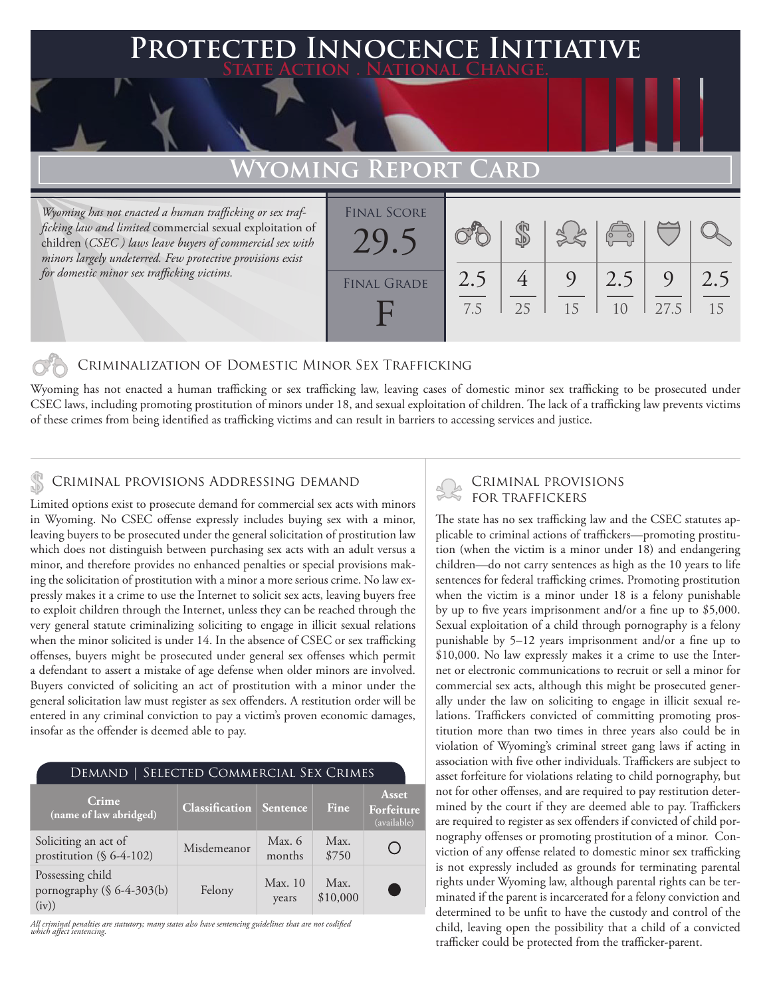### **Protected Innocence Initiative State Action . National Change.**

# **Wyoming Report Card**

*Wyoming has not enacted a human trafficking or sex trafficking law and limited* commercial sexual exploitation of children (*CSEC ) laws leave buyers of commercial sex with minors largely undeterred. Few protective provisions exist for domestic minor sex trafficking victims.*

| <b>FINAL SCORE</b> |            |    | $\frac{1}{2}$ | $\begin{pmatrix} 1 & 1 \\ 0 & 1 \end{pmatrix}$ |      |           |
|--------------------|------------|----|---------------|------------------------------------------------|------|-----------|
| <b>FINAL GRADE</b> | 2.5<br>7.5 | 25 | 9<br>15       | 2.5<br>1 <sub>0</sub>                          | 27.5 | 2.5<br>15 |

### Criminalization of Domestic Minor Sex Trafficking

Wyoming has not enacted a human trafficking or sex trafficking law, leaving cases of domestic minor sex trafficking to be prosecuted under CSEC laws, including promoting prostitution of minors under 18, and sexual exploitation of children. The lack of a trafficking law prevents victims of these crimes from being identified as trafficking victims and can result in barriers to accessing services and justice.

# CRIMINAL PROVISIONS ADDRESSING DEMAND<br>
FOR TRAFFICKERS

Limited options exist to prosecute demand for commercial sex acts with minors in Wyoming. No CSEC offense expressly includes buying sex with a minor, leaving buyers to be prosecuted under the general solicitation of prostitution law which does not distinguish between purchasing sex acts with an adult versus a minor, and therefore provides no enhanced penalties or special provisions making the solicitation of prostitution with a minor a more serious crime. No law expressly makes it a crime to use the Internet to solicit sex acts, leaving buyers free to exploit children through the Internet, unless they can be reached through the very general statute criminalizing soliciting to engage in illicit sexual relations when the minor solicited is under 14. In the absence of CSEC or sex trafficking offenses, buyers might be prosecuted under general sex offenses which permit a defendant to assert a mistake of age defense when older minors are involved. Buyers convicted of soliciting an act of prostitution with a minor under the general solicitation law must register as sex offenders. A restitution order will be entered in any criminal conviction to pay a victim's proven economic damages, insofar as the offender is deemed able to pay.

| SELECTED COMMERCIAL SEX CRIMES<br>Demand                   |                       |                  |                  |                                    |  |  |  |  |
|------------------------------------------------------------|-----------------------|------------------|------------------|------------------------------------|--|--|--|--|
| Crime<br>(name of law abridged)                            | <b>Classification</b> | Sentence         | Fine             | Asset<br>Forfeiture<br>(available) |  |  |  |  |
| Soliciting an act of<br>prostitution (§ 6-4-102)           | Misdemeanor           | Max. 6<br>months | Max.<br>\$750    |                                    |  |  |  |  |
| Possessing child<br>pornography $(\S 6-4-303(b))$<br>(iv)) | Felony                | Max. 10<br>years | Max.<br>\$10,000 | C.                                 |  |  |  |  |

*All criminal penalties are statutory; many states also have sentencing guidelines that are not codified which affect sentencing.* 

The state has no sex trafficking law and the CSEC statutes applicable to criminal actions of traffickers—promoting prostitution (when the victim is a minor under 18) and endangering children—do not carry sentences as high as the 10 years to life sentences for federal trafficking crimes. Promoting prostitution when the victim is a minor under 18 is a felony punishable by up to five years imprisonment and/or a fine up to \$5,000. Sexual exploitation of a child through pornography is a felony punishable by 5–12 years imprisonment and/or a fine up to \$10,000. No law expressly makes it a crime to use the Internet or electronic communications to recruit or sell a minor for commercial sex acts, although this might be prosecuted generally under the law on soliciting to engage in illicit sexual relations. Traffickers convicted of committing promoting prostitution more than two times in three years also could be in violation of Wyoming's criminal street gang laws if acting in association with five other individuals. Traffickers are subject to asset forfeiture for violations relating to child pornography, but not for other offenses, and are required to pay restitution determined by the court if they are deemed able to pay. Traffickers are required to register as sex offenders if convicted of child pornography offenses or promoting prostitution of a minor. Conviction of any offense related to domestic minor sex trafficking is not expressly included as grounds for terminating parental rights under Wyoming law, although parental rights can be terminated if the parent is incarcerated for a felony conviction and determined to be unfit to have the custody and control of the child, leaving open the possibility that a child of a convicted trafficker could be protected from the trafficker-parent.